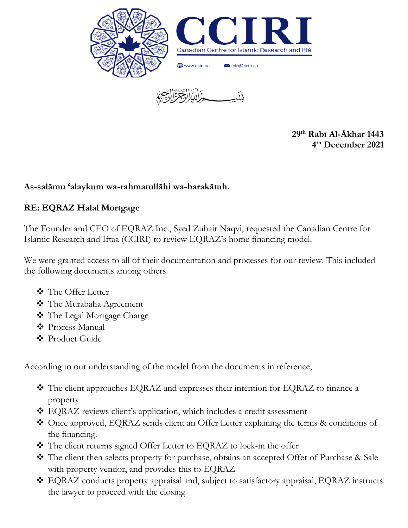

**29 th Rabī Al-Ākhar 1443 4 th December 2021**

## **As-salāmu 'alaykum wa-rahmatullāhi wa-barakātuh.**

## **RE: EQRAZ Halal Mortgage**

The Founder and CEO of EQRAZ Inc., Syed Zuhair Naqvi, requested the Canadian Centre for Islamic Research and Iftaa (CCIRI) to review EQRAZ's home financing model.

We were granted access to all of their documentation and processes for our review. This included the following documents among others.

- ❖ The Offer Letter
- ❖ The Murabaha Agreement
- ❖ The Legal Mortgage Charge
- ❖ Process Manual
- ❖ Product Guide

According to our understanding of the model from the documents in reference,

- ❖ The client approaches EQRAZ and expresses their intention for EQRAZ to finance a property
- ❖ EQRAZ reviews client's application, which includes a credit assessment
- ❖ Once approved, EQRAZ sends client an Offer Letter explaining the terms & conditions of the financing.
- ❖ The client returns signed Offer Letter to EQRAZ to lock-in the offer
- ❖ The client then selects property for purchase, obtains an accepted Offer of Purchase & Sale with property vendor, and provides this to EQRAZ
- ❖ EQRAZ conducts property appraisal and, subject to satisfactory appraisal, EQRAZ instructs the lawyer to proceed with the closing